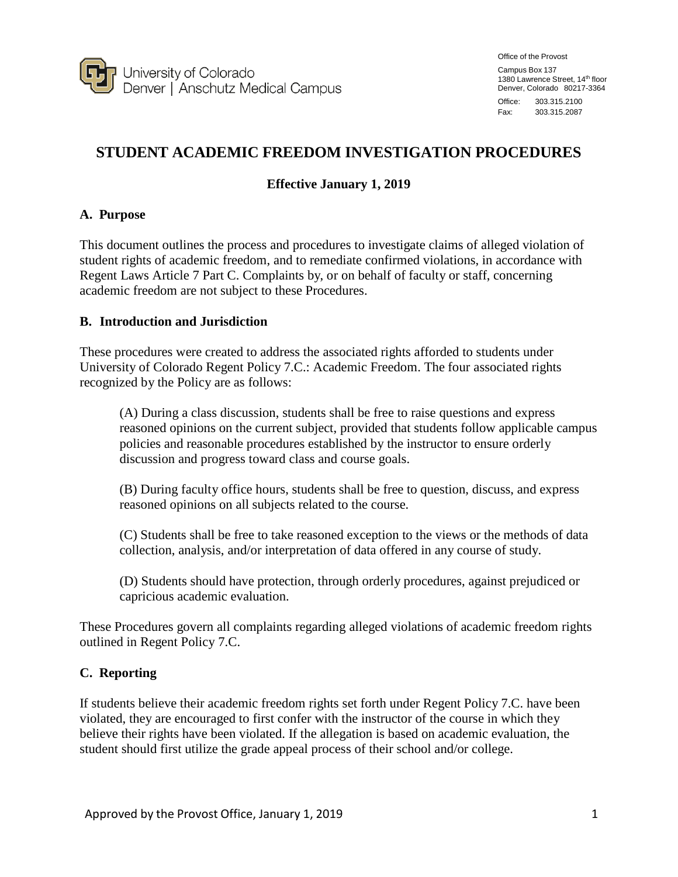

Office of the Provost

Campus Box 137 1380 Lawrence Street, 14th floor Denver, Colorado 80217-3364

Office: 303.315.2100 Fax: 303.315.2087

# **STUDENT ACADEMIC FREEDOM INVESTIGATION PROCEDURES**

## **Effective January 1, 2019**

### **A. Purpose**

This document outlines the process and procedures to investigate claims of alleged violation of student rights of academic freedom, and to remediate confirmed violations, in accordance with Regent Laws Article 7 Part C. Complaints by, or on behalf of faculty or staff, concerning academic freedom are not subject to these Procedures.

### **B. Introduction and Jurisdiction**

These procedures were created to address the associated rights afforded to students under University of Colorado Regent Policy 7.C.: Academic Freedom. The four associated rights recognized by the Policy are as follows:

(A) During a class discussion, students shall be free to raise questions and express reasoned opinions on the current subject, provided that students follow applicable campus policies and reasonable procedures established by the instructor to ensure orderly discussion and progress toward class and course goals.

(B) During faculty office hours, students shall be free to question, discuss, and express reasoned opinions on all subjects related to the course.

(C) Students shall be free to take reasoned exception to the views or the methods of data collection, analysis, and/or interpretation of data offered in any course of study.

(D) Students should have protection, through orderly procedures, against prejudiced or capricious academic evaluation.

These Procedures govern all complaints regarding alleged violations of academic freedom rights outlined in Regent Policy 7.C.

### **C. Reporting**

If students believe their academic freedom rights set forth under Regent Policy 7.C. have been violated, they are encouraged to first confer with the instructor of the course in which they believe their rights have been violated. If the allegation is based on academic evaluation, the student should first utilize the grade appeal process of their school and/or college.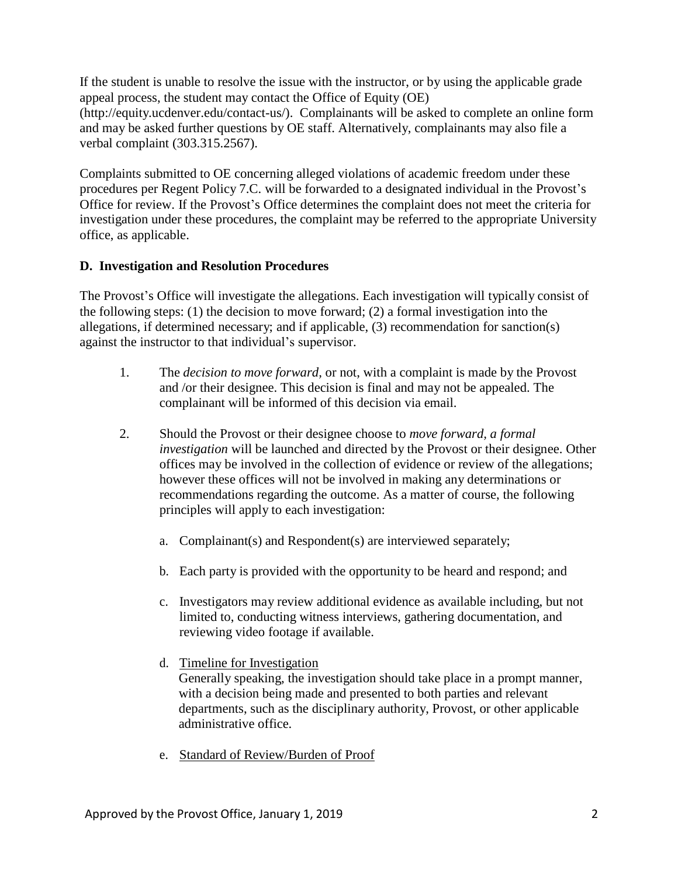If the student is unable to resolve the issue with the instructor, or by using the applicable grade appeal process, the student may contact the Office of Equity (OE) [\(http://equity.ucdenver.edu/contact-us/\). C](http://equity.ucdenver.edu/contact-us/))omplainants will be asked to complete an online form and may be asked further questions by OE staff. Alternatively, complainants may also file a verbal complaint (303.315.2567).

Complaints submitted to OE concerning alleged violations of academic freedom under these procedures per Regent Policy 7.C. will be forwarded to a designated individual in the Provost's Office for review. If the Provost's Office determines the complaint does not meet the criteria for investigation under these procedures, the complaint may be referred to the appropriate University office, as applicable.

### **D. Investigation and Resolution Procedures**

The Provost's Office will investigate the allegations. Each investigation will typically consist of the following steps: (1) the decision to move forward; (2) a formal investigation into the allegations, if determined necessary; and if applicable, (3) recommendation for sanction(s) against the instructor to that individual's supervisor.

- 1. The *decision to move forward,* or not, with a complaint is made by the Provost and /or their designee. This decision is final and may not be appealed. The complainant will be informed of this decision via email.
- 2. Should the Provost or their designee choose to *move forward, a formal investigation* will be launched and directed by the Provost or their designee. Other offices may be involved in the collection of evidence or review of the allegations; however these offices will not be involved in making any determinations or recommendations regarding the outcome. As a matter of course, the following principles will apply to each investigation:
	- a. Complainant(s) and Respondent(s) are interviewed separately;
	- b. Each party is provided with the opportunity to be heard and respond; and
	- c. Investigators may review additional evidence as available including, but not limited to, conducting witness interviews, gathering documentation, and reviewing video footage if available.
	- d. Timeline for Investigation Generally speaking, the investigation should take place in a prompt manner, with a decision being made and presented to both parties and relevant departments, such as the disciplinary authority, Provost, or other applicable administrative office.
	- e. Standard of Review/Burden of Proof